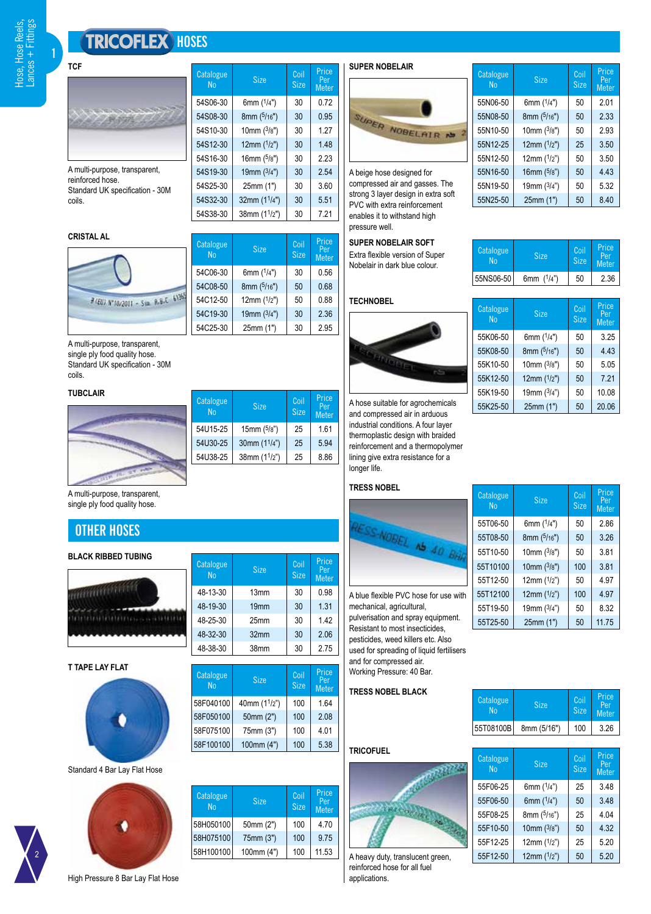# **TRICOFLEX** HOSES

**Catalogue** 

54S06-30

54S08-30

54S10-30

54S12-30

54S16-30

54S19-30

54S32-30

54C06-30

54C08-50

54C19-30

Catalogue<br>No

Catalogue<br>No

58F040100

 $54$ S38-30 | 38mm (1<sup>1</sup>/

54C12-50 | 12mm (1/

alogue Size <mark>Coil</mark><br>No Size Size

 $^{\prime}$ 

 $\frac{3}{2}$ 

 $\frac{1}{2}$ 

 $\frac{5}{3}$ 

 $\frac{3}{2}$ 

1 /

 $54$ S25-30  $\vert$  25mm (1")  $\vert$  30  $\vert$  3.60

alogue Size Coil<br>No Size Size

 $^{\prime}$ 

 $\frac{3}{2}$ 

 $54C25-30$  25mm (1") 30 2.95

8mm (5/16")

Size

<sup>5/</sup>16") | 30 | 0.95

**Price** Per Meter

 $30 | 0.72$ 

 $30$  1.27

 $30 \mid 1.48$ 

 $30 \mid 2.23$ 

 $30 \mid 2.54$ 

 $30 \mid 5.51$ 

 $30$  7.21

 $30 \mid 0.56$ 

 $50 \mid 0.68$ 

 $50 \mid 0.88$ 

 $30 \mid 2.36$ 

**Price** Per Meter

Size

**1**



A multi-purpose, transparent, reinforced hose. Standard UK specification - 30M coils.

| <b>CRISTAL AL</b> |
|-------------------|
|-------------------|



A multi-purpose, transparent,

single ply food quality hose. Standard UK specification - 30M coils.

## **TUBCLAIR**



| <b>Size</b>    | Coil<br><b>Size</b> | Price<br>Per<br><b>Meter</b> |
|----------------|---------------------|------------------------------|
| 15mm $(5/8")$  | 25                  | 1.61                         |
| 30mm $(11/4")$ | 25                  | 5.94                         |
| 38mm $(11/2n)$ | 25                  | 8.86                         |
|                |                     |                              |

alogue Size <mark>Coil</mark><br>No Size Size

alogue Size <mark>Coil</mark><br>No Size Size

1 /

58F050100 50mm (2") 100 2.08 58F075100 75mm (3") 100 4.01 58F100100 100mm (4") 100 5.38

48-13-30 13mm 30 0.98 48-19-30 19mm 30 1.31 48-25-30 25mm 30 1.42 48-32-30 32mm 30 2.06 48-38-30 38mm 30 2.75

Size

Size

 $100$  1.64

Price Per Meter

Price Per Meter

A multi-purpose, transparent, single ply food quality hose.

# **OTHER HOSES**

## **BLACK RIBBED TUBING**



**T TAPE LAY FLAT**



#### Standard 4 Bar Lay Flat Hose

2



| Catalogue<br><b>No</b> | <b>Size</b> | Coil<br><b>Size</b> | Price<br>Per<br><b>Meter</b> |
|------------------------|-------------|---------------------|------------------------------|
| 58H050100              | 50mm (2")   | 100                 | 4 7 0                        |
| 58H075100              | 75mm (3")   | 100                 | 9.75                         |
| 58H100100              | 100mm (4")  | 100                 | 11.53                        |



**Catalogue** alogue Size <mark>Coil</mark><br>No Size Size Size Price Per Meter 55N06-50  $\frac{1}{2}$  $50 \mid 2.01$ 55N08-50  $(5/16")$  | 50 | 2.33 55N10-50  $\frac{3}{2}$  $50 \mid 2.93$ 55N12-25  $^{\prime}$ 1/  $25 \mid 3.50$ 55N12-50 1 /  $50 \mid 3.50$ 55N16-50  $\frac{5}{3}$  $50 \mid 443$ 55N19-50  $\frac{3}{2}$ 4") 50 5.32  $55N25-50$  25mm (1") 50 8.40

A beige hose designed for compressed air and gasses. The strong 3 layer design in extra soft PVC with extra reinforcement enables it to withstand high pressure well.

# Catalogue **Size** Coil Price **SUPER NOBELAIR SOFT**<br>No Size Size Metal Extra flexible version of Sur

Extra flexible version of Super Nobelair in dark blue colour.



A hose suitable for agrochemicals and compressed air in arduous industrial conditions. A four layer thermoplastic design with braided reinforcement and a thermopolymer lining give extra resistance for a longer life.

#### **TRESS NOBEL**



A blue flexible PVC hose for use with mechanical, agricultural, pulverisation and spray equipment. Resistant to most insecticides, pesticides, weed killers etc. Also used for spreading of liquid fertilisers and for compressed air. Working Pressure: 40 Bar.

#### **TRESS NOBEL BLACK**

| <b>Catalogue</b><br>No <sup>1</sup> | <b>Size</b> | Coil<br><b>Size</b> | Price<br>Per<br>Meter |
|-------------------------------------|-------------|---------------------|-----------------------|
| 55T08100B                           | 8mm (5/16") | 100                 | 3.26                  |

Price Per Meter

Catalogue

#### **TRICOF**



A heavy duty, translucent green, reinforced hose for all fuel applications.

| Catalogue<br>N <sub>0</sub> | <b>Size</b>  | Coil<br><b>Size</b> | Price<br>Per<br><b>Meter</b> |
|-----------------------------|--------------|---------------------|------------------------------|
| 55NS06-50                   | 6mm $(1/4")$ | 50                  | 2.36                         |
|                             |              |                     |                              |
| Catalogue<br>N <sub>0</sub> | <b>Size</b>  | Coil<br><b>Size</b> | Price<br>Per<br>Motor        |

| Catalogue<br>N <sub>0</sub> | <b>Size</b>   | Coil<br><b>Size</b> | Price<br>Per<br><b>Meter</b> |
|-----------------------------|---------------|---------------------|------------------------------|
| 55K06-50                    | 6mm $(1/4")$  | 50                  | 3.25                         |
| 55K08-50                    | 8mm (5/16")   | 50                  | 4.43                         |
| 55K10-50                    | 10mm $(3/8")$ | 50                  | 5.05                         |
| 55K12-50                    | 12mm $(1/2")$ | 50                  | 7.21                         |
| 55K19-50                    | 19mm $(3/4")$ | 50                  | 10.08                        |
| 55K25-50                    | 25mm (1")     | 50                  | 20.06                        |

| Catalogue<br>N <sub>0</sub> | <b>Size</b>   | Coil<br><b>Size</b> | Price<br>Per<br><b>Meter</b> |
|-----------------------------|---------------|---------------------|------------------------------|
| 55T06-50                    | 6mm $(1/4")$  | 50                  | 2.86                         |
| 55T08-50                    | 8mm (5/16")   | 50                  | 3.26                         |
| 55T10-50                    | 10mm $(3/8")$ | 50                  | 3.81                         |
| 55T10100                    | 10mm $(3/8")$ | 100                 | 3.81                         |
| 55T12-50                    | 12mm $(1/2)$  | 50                  | 4.97                         |
| 55T12100                    | 12mm $(1/2")$ | 100                 | 4.97                         |
| 55T19-50                    | 19mm $(3/4)$  | 50                  | 8.32                         |
| 55T25-50                    | 25mm (1")     | 50                  | 11.75                        |

| uel |  |  |
|-----|--|--|
|     |  |  |

|                            | Catalogue<br>N <sub>o</sub> | <b>Size</b>  | Coil<br><b>Size</b> | r nce<br>Per<br><b>Mete</b> |
|----------------------------|-----------------------------|--------------|---------------------|-----------------------------|
|                            | 55F06-25                    | 6mm $(1/4")$ | 25                  | 3.48                        |
|                            | 55F06-50                    | 6mm $(1/4")$ | 50                  | 3.48                        |
|                            | 55F08-25                    | 8mm (5/16")  | 25                  | 4.04                        |
|                            | 55F10-50                    | 10mm $(3/8)$ | 50                  | 4.32                        |
|                            | 55F12-25                    | 12mm $(1/2)$ | 25                  | 5.20                        |
| y duty, translucent green, | 55F12-50                    | 12mm $(1/2)$ | 50                  | 5.20                        |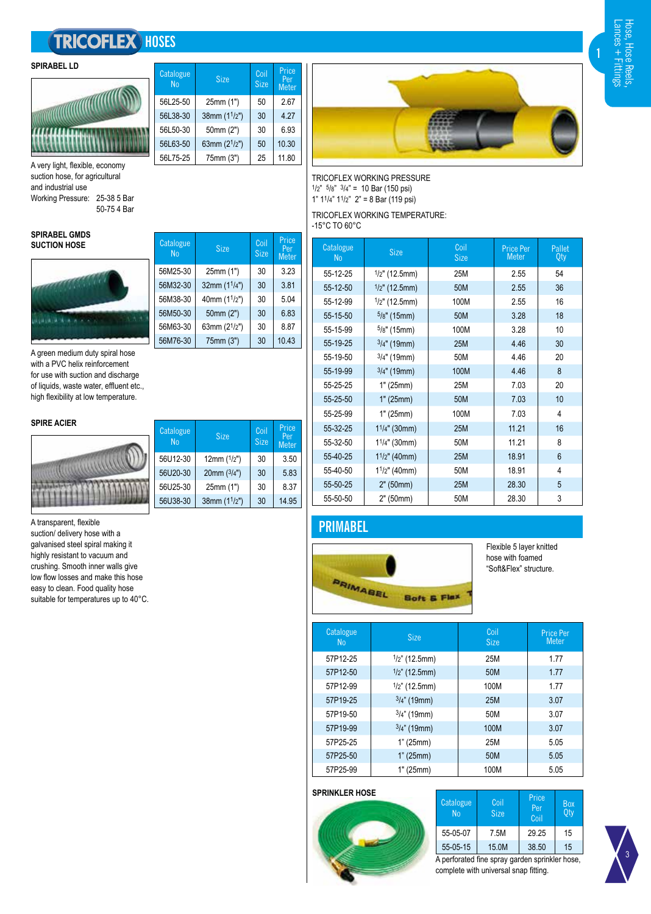# **TRICOFLEX** HOSES





A very light, flexible, economy suction hose, for agricultural and industrial use Working Pressure: 25-38 5 Bar 50-75 4 Bar

#### **SPIRABEL GMDS SUCTION HOSE**



A green medium duty spiral hose with a PVC helix reinforcement for use with suction and discharge of liquids, waste water, effluent etc., high flexibility at low temperature.

#### **SPIRE ACIER**



## A transparent, flexible

suction/ delivery hose with a galvanised steel spiral making it highly resistant to vacuum and crushing. Smooth inner walls give low flow losses and make this hose easy to clean. Food quality hose suitable for temperatures up to 40°C.

| Catalogue<br>N <sub>0</sub> | <b>Size</b>    | Coil<br><b>Size</b> | Price<br>Per<br><b>Meter</b> |
|-----------------------------|----------------|---------------------|------------------------------|
| 56L25-50                    | 25mm (1")      | 50                  | 2.67                         |
| 56L38-30                    | 38mm $(11/2")$ | 30                  | 4.27                         |
| 56L50-30                    | 50mm (2")      | 30                  | 6.93                         |
| 56L63-50                    | 63mm $(21/2")$ | 50                  | 10.30                        |
| 56L75-25                    | 75mm (3")      | 25                  | 11.80                        |

alogue Size <mark>Coil</mark><br>No Size Size

alogue Size <mark>Coil</mark><br>No Size Size

 $56U12-30$  12mm  $(1/2")$  30 3.50  $56U20-30$  20mm  $(3/4")$  30 5.83  $56U25-30$  25mm (1") 30  $8.37$ 56U38-30  $38$ mm (1<sup>1</sup>/2") 30 14.95

 $56M25-30$  25mm (1") 30 3.23  $56M32-30$  32mm (1<sup>1</sup>/4") 30 3.81 56M38-30  $\vert$  40mm (1<sup>1</sup>/2") 30 5.04  $56M50-30$  50mm (2") 30 6.83  $56M63-30$  63mm (2<sup>1</sup>/2") 30 8.87 56M76-30 75mm (3") 30 10.43

Size

Size

Price Per Meter

**Price** Per Meter

Catalogue<br>No

Catalogue<br>No



TRICOFLEX WORKING PRESSURE  $1/2$ "  $5/8$ "  $3/4$ " = 10 Bar (150 psi) 1"  $1^{1}/4$ "  $1^{1}/2$ "  $2$ " = 8 Bar (119 psi) TRICOFLEX WORKING TEMPERATURE:

-15°C TO 60°C

| Catalogue<br><b>No</b> | <b>Size</b>      | Coil<br><b>Size</b> | <b>Price Per</b><br><b>Meter</b> | Pallet<br>Qty |
|------------------------|------------------|---------------------|----------------------------------|---------------|
| 55-12-25               | $1/2$ " (12.5mm) | 25M                 | 2.55                             | 54            |
| 55-12-50               | $1/2$ " (12.5mm) | 50M                 | 2.55                             | 36            |
| 55-12-99               | $1/2$ " (12.5mm) | 100M                | 2.55                             | 16            |
| 55-15-50               | $5/8"$ (15mm)    | 50M                 | 3.28                             | 18            |
| 55-15-99               | $5/8"$ (15mm)    | 100M                | 3.28                             | 10            |
| 55-19-25               | $3/4"$ (19mm)    | <b>25M</b>          | 4.46                             | 30            |
| 55-19-50               | $3/4"$ (19mm)    | 50M                 | 4.46                             | 20            |
| 55-19-99               | $3/4$ " (19mm)   | 100M                | 4.46                             | 8             |
| 55-25-25               | 1" (25mm)        | 25M                 | 7.03                             | 20            |
| 55-25-50               | 1" (25mm)        | 50M                 | 7.03                             | 10            |
| 55-25-99               | 1" (25mm)        | 100M                | 7.03                             | 4             |
| 55-32-25               | $11/4$ " (30mm)  | <b>25M</b>          | 11.21                            | 16            |
| 55-32-50               | $11/4"$ (30mm)   | 50M                 | 11.21                            | 8             |
| 55-40-25               | $11/2$ " (40mm)  | <b>25M</b>          | 18.91                            | 6             |
| 55-40-50               | $11/2$ " (40mm)  | 50M                 | 18.91                            | 4             |
| 55-50-25               | 2" (50mm)        | <b>25M</b>          | 28.30                            | 5             |
| 55-50-50               | 2" (50mm)        | 50M                 | 28.30                            | 3             |

# **PRIMABEL**



Flexible 5 layer knitted hose with foamed "Soft&Flex" structure.

| Catalogue<br>N <sub>0</sub> | <b>Size</b>      | Coil<br><b>Size</b> | <b>Price Per</b><br>Meter |
|-----------------------------|------------------|---------------------|---------------------------|
| 57P12-25                    | $1/2$ " (12.5mm) | 25M                 | 177                       |
| 57P12-50                    | $1/2$ " (12.5mm) | 50M                 | 1.77                      |
| 57P12-99                    | $1/2$ " (12.5mm) | 100M                | 1.77                      |
| 57P19-25                    | $3/4$ " (19mm)   | 25M                 | 3.07                      |
| 57P19-50                    | $3/4$ " (19mm)   | 50M                 | 3.07                      |
| 57P19-99                    | $3/4$ " (19mm)   | 100M                | 3.07                      |
| 57P25-25                    | 1" (25mm)        | 25M                 | 5.05                      |
| 57P25-50                    | 1" (25mm)        | 50M                 | 5.05                      |
| 57P25-99                    | 1" (25mm)        | 100M                | 5.05                      |

#### **SPRINKLER HOSE**



| Catalogue<br>N <sub>0</sub> | Coil<br><b>Size</b>                            | Price<br>Per<br>Coil | Box<br>Oty |
|-----------------------------|------------------------------------------------|----------------------|------------|
| 55-05-07                    | 7.5M                                           | 29.25                | 15         |
| 55-05-15                    | 15.0M                                          | 38.50                | 15         |
|                             | A perforated fine spray garden sprinkler hose, |                      |            |
|                             | complete with universal snap fitting.          |                      |            |

3

**1**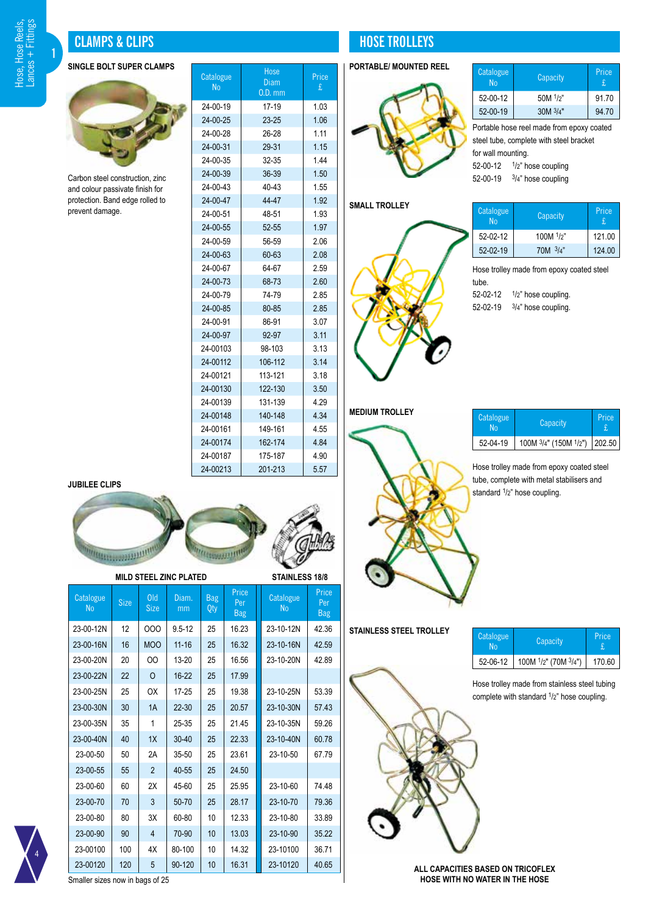# $+$  Fittings **Hose, Hose Reels,** Hose, Hose Reels, Lances + Fittings ances

**1**

# **CLAMPS & CLIPS HOSE TROLLEYS**

## **SINGLE BOLT SUPER CLAMPS**



Carbon steel construction, zinc and colour passivate finish for protection. Band edge rolled to prevent damage.

| Catalogue<br>N <sub>0</sub> | Hose<br>Diam<br>$0.D.$ mm | Price<br>£ |
|-----------------------------|---------------------------|------------|
| 24-00-19<br>i               | 17-19                     | 1.03       |
| 24-00-25                    | $23 - 25$                 | 1.06       |
| 24-00-28                    | 26-28                     | 1.11       |
| 24-00-31                    | 29-31                     | 1.15       |
| 24-00-35                    | 32-35                     | 1.44       |
| 24-00-39                    | 36-39                     | 1.50       |
| 24-00-43                    | 40-43                     | 1.55       |
| 24-00-47                    | 44-47                     | 1.92       |
| 24-00-51                    | 48-51                     | 1.93       |
| 24-00-55                    | 52-55                     | 1.97       |
| 24-00-59                    | 56-59                     | 2.06       |
| 24-00-63                    | 60-63                     | 2.08       |
| 24-00-67                    | 64-67                     | 2.59       |
| 24-00-73                    | 68-73                     | 2.60       |
| 24-00-79                    | 74-79                     | 2.85       |
| 24-00-85                    | 80-85                     | 2.85       |
| 24-00-91                    | 86-91                     | 3.07       |
| 24-00-97                    | 92-97                     | 3.11       |
| 24-00103                    | 98-103                    | 3.13       |
| 24-00112                    | 106-112                   | 3.14       |
| 24-00121                    | 113-121                   | 3.18       |
| 24-00130                    | 122-130                   | 3.50       |
| 24-00139                    | 131-139                   | 4.29       |
| 24-00148                    | 140-148                   | 4.34       |
| 24-00161                    | 149-161                   | 4.55       |
| 24-00174                    | 162-174                   | 4.84       |
| 24-00187                    | 175-187                   | 4.90       |
| 24-00213                    | 201-213                   | 5.57       |

# **PORTABLE/ MOUNTED REEL**



| <b>Catalogue</b><br><b>No</b> | Capacity     | Price<br>£. |
|-------------------------------|--------------|-------------|
| 52-00-12                      | 50M $1/2$ "  | 91.70       |
| 52-00-19                      | $30M$ $3/4"$ | 94.70       |

Portable hose reel made from epoxy coated steel tube, complete with steel bracket for wall mounting. 52-00-12 1/2" hose coupling 52-00-19 3/4" hose coupling

# **SMALL TROLLEY**



| <b>Catalogue</b><br>No | Capacity   | Price<br>£. |
|------------------------|------------|-------------|
| 52-02-12               | 100M 1/2"  | 121.00      |
| 52-02-19               | 70M $3/4"$ | 124.00      |

Hose trolley made from epoxy coated steel tube.

52-02-12  $1/2$ " hose coupling. 52-02-19  $3/4$ " hose coupling.

| Catalogue<br>N۵ | Capacity                     | Price |
|-----------------|------------------------------|-------|
| 52-04-19        | 100M 3/4" (150M 1/2") 202.50 |       |

Hose trolley made from epoxy coated steel tube, complete with metal stabilisers and standard 1/2" hose coupling.

# **JUBILEE CLIPS**



**MILD STEEL ZINC PLATED STAINLESS 18/8**

| Catalogue<br>N <sub>0</sub> | <b>Size</b> | 0 <sub>ld</sub><br><b>Size</b> | Diam.<br>mm | <b>Bag</b><br>Qty | Price<br>Per<br><b>Bag</b> | Catalogue<br>N <sub>0</sub> | Price<br>Per<br><b>Bag</b> |
|-----------------------------|-------------|--------------------------------|-------------|-------------------|----------------------------|-----------------------------|----------------------------|
| 23-00-12N                   | 12          | 000                            | $9.5 - 12$  | 25                | 16.23                      | 23-10-12N                   | 42.36                      |
| 23-00-16N                   | 16          | <b>MOO</b>                     | $11 - 16$   | 25                | 16.32                      | 23-10-16N                   | 42.59                      |
| 23-00-20N                   | 20          | OO                             | 13-20       | 25                | 16.56                      | 23-10-20N                   | 42.89                      |
| 23-00-22N                   | 22          | O                              | $16 - 22$   | 25                | 17.99                      |                             |                            |
| 23-00-25N                   | 25          | <b>OX</b>                      | 17-25       | 25                | 19.38                      | 23-10-25N                   | 53.39                      |
| 23-00-30N                   | 30          | 1A                             | $22 - 30$   | 25                | 20.57                      | 23-10-30N                   | 57.43                      |
| 23-00-35N                   | 35          | 1                              | 25-35       | 25                | 21.45                      | 23-10-35N                   | 59.26                      |
| 23-00-40N                   | 40          | 1X                             | $30 - 40$   | 25                | 22.33                      | 23-10-40N                   | 60.78                      |
| 23-00-50                    | 50          | 2A                             | 35-50       | 25                | 23.61                      | 23-10-50                    | 67.79                      |
| 23-00-55                    | 55          | $\overline{2}$                 | 40-55       | 25                | 24.50                      |                             |                            |
| 23-00-60                    | 60          | 2X                             | 45-60       | 25                | 25.95                      | 23-10-60                    | 74.48                      |
| 23-00-70                    | 70          | 3                              | 50-70       | 25                | 28.17                      | 23-10-70                    | 79.36                      |
| 23-00-80                    | 80          | 3X                             | 60-80       | 10                | 12.33                      | 23-10-80                    | 33.89                      |
| 23-00-90                    | 90          | $\overline{4}$                 | 70-90       | 10                | 13.03                      | 23-10-90                    | 35.22                      |
| 23-00100                    | 100         | 4X                             | 80-100      | 10                | 14.32                      | 23-10100                    | 36.71                      |
| 23-00120                    | 120         | 5                              | 90-120      | 10                | 16.31                      | 23-10120                    | 40.65                      |



Smaller sizes now in bags of 25



**STAINLESS STEEL TROLLEY**

| Catalogue<br>N۵ | <b>Capacity</b>      | Price  |
|-----------------|----------------------|--------|
| 52-06-12        | 100M 1/2" (70M 3/4") | 170.60 |

Hose trolley made from stainless steel tubing complete with standard 1/2" hose coupling.

**ALL CAPACITIES BASED ON TRICOFLEX HOSE WITH NO WATER IN THE HOSE**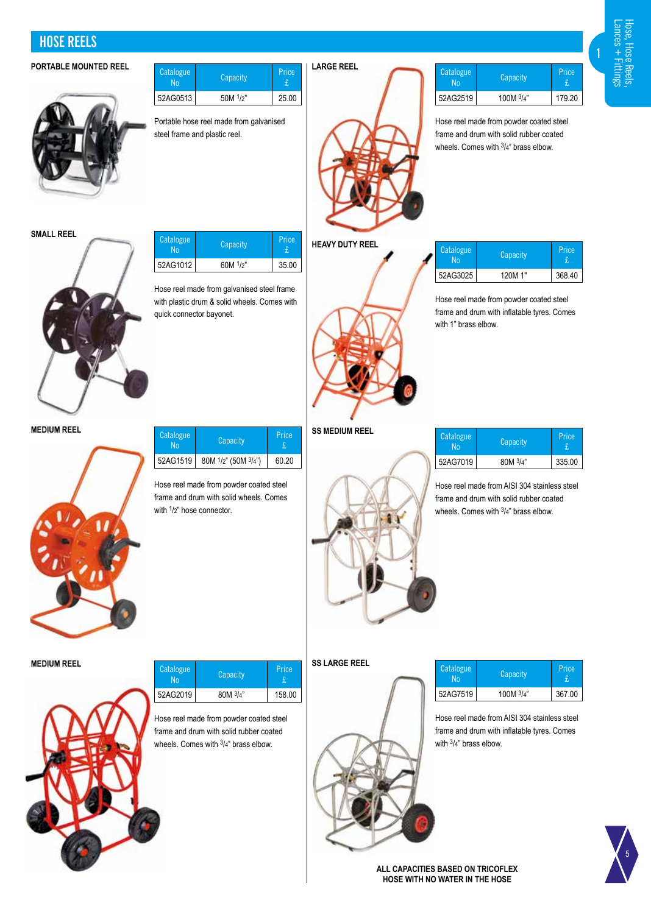**HOSE REELS**

# **PORTABLE MOUNTED REEL Address Continues In the United States Inc. 1 | LARGE REEL**



| Catalogue<br>No | Capacity | Price |
|-----------------|----------|-------|
| 52AG0513        | 50M 1/2" | 25.00 |

Portable hose reel made from galvanised steel frame and plastic reel.



| <b>Catalogue</b> | Capacity    | Price  |
|------------------|-------------|--------|
| 52AG2519         | 100M $3/4"$ | 179 20 |

Hose reel made from powder coated steel frame and drum with solid rubber coated wheels. Comes with  $3/4$ " brass elbow.

| SMALL REEL |  |
|------------|--|
|            |  |
|            |  |

| Catalogue | Capacity      | Price |
|-----------|---------------|-------|
| 52AG1012  | $60M$ $1/2$ " | 35.00 |

Hose reel made from galvanised steel frame with plastic drum & solid wheels. Comes with quick connector bayonet.



**HEAVY DUTY REEL**

| 52AG3025 | 120M 1"                                 | 368.40 |
|----------|-----------------------------------------|--------|
|          | Hose reel made from powder coated steel |        |

Catalogue Capacity Price<br>
No Capacity f

£

frame and drum with inflatable tyres. Comes with 1" brass elbow.

**MEDIUM REEL**



| Catalogue | Capacity                                               | Price. |
|-----------|--------------------------------------------------------|--------|
|           | 52AG1519   80M <sup>1</sup> /2" (50M <sup>3</sup> /4") | 60.20  |

Hose reel made from powder coated steel frame and drum with solid wheels. Comes with  $1/2$ " hose connector.





| Catalogue | Capacity | Price  |
|-----------|----------|--------|
| 52AG7019  | 80M 3/4" | 335.00 |

Hose reel made from AISI 304 stainless steel frame and drum with solid rubber coated wheels. Comes with  $3/4$ " brass elbow.

**MEDIUM REEL**



| Catalogue<br>N <sub>0</sub> | Capacity | Price  |
|-----------------------------|----------|--------|
| 52AG2019                    | 80M 3/4" | 158.00 |

Hose reel made from powder coated steel frame and drum with solid rubber coated wheels. Comes with 3/4" brass elbow.

# **SS LARGE REEL**

| Catalogue | Capacity    | Price  |
|-----------|-------------|--------|
| 52AG7519  | 100M $3/4"$ | 367.00 |

Hose reel made from AISI 304 stainless steel frame and drum with inflatable tyres. Comes with 3/4" brass elbow.



**ALL CAPACITIES BASED ON TRICOFLEX HOSE WITH NO WATER IN THE HOSE**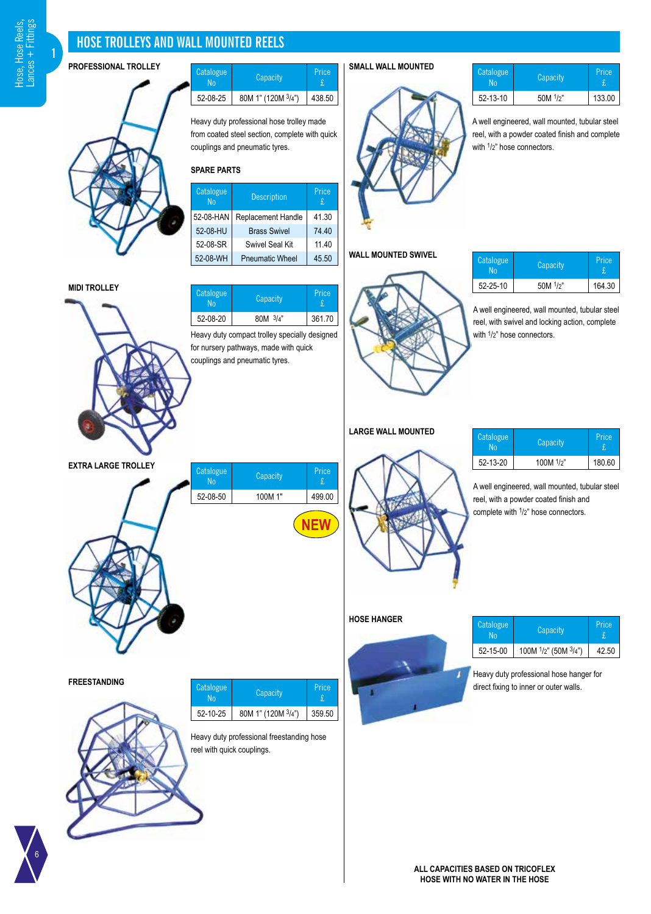6

**1**

# **HOSE TROLLEYS AND WALL MOUNTED REELS**

**PROFESSIONAL TROLLEY**

 $\sqrt{ }$ 

**MIDI TROLLEY**

| Catalogue<br>N۵ | Capacity           | Price  |
|-----------------|--------------------|--------|
| 52-08-25        | 80M 1" (120M 3/4") | 438.50 |

Heavy duty professional hose trolley made from coated steel section, complete with quick couplings and pneumatic tyres.

# **SPARE PARTS**

| Catalogue<br><b>No</b> | <b>Description</b>     | Price<br>£. |
|------------------------|------------------------|-------------|
| 52-08-HAN              | Replacement Handle     | 41.30       |
| 52-08-HU               | <b>Brass Swivel</b>    | 74.40       |
| 52-08-SR               | <b>Swivel Seal Kit</b> | 11.40       |
| 52-08-WH               | <b>Pneumatic Wheel</b> | 45.50       |

Catalogue No Capacity Price

52-08-20 80M 3/4" 361.70

Price<br>£

|   | Price<br>$\pounds$ |  |
|---|--------------------|--|
| e | 41.30              |  |
|   | 74.40              |  |
|   | 11.40              |  |

| Catalogue<br>Nο | Capacity      | Price  |
|-----------------|---------------|--------|
| 52-13-10        | $50M$ $1/2$ " | 133.00 |

A well engineered, wall mounted, tubular steel reel, with a powder coated finish and complete with  $1/2$ " hose connectors.

## **WALL MOUNTED SWIVEL**

**SMALL WALL MOUNTED**



| Catalogue<br>٦n | Capacity | Price  |
|-----------------|----------|--------|
| 52-25-10        | 50M 1/2" | 164.30 |

A well engineered, wall mounted, tubular steel reel, with swivel and locking action, complete with  $1/2$ " hose connectors.

| Catalogue | Capacity     | Price  |
|-----------|--------------|--------|
| 52-13-20  | 100M $1/p$ " | 180.60 |

A well engineered, wall mounted, tubular steel reel, with a powder coated finish and complete with 1/2" hose connectors.



**Heavy duty professional hose hanger for** direct fixing to inner or outer walls.



**ALL CAPACITIES BASED ON TRICOFLEX HOSE WITH NO WATER IN THE HOSE**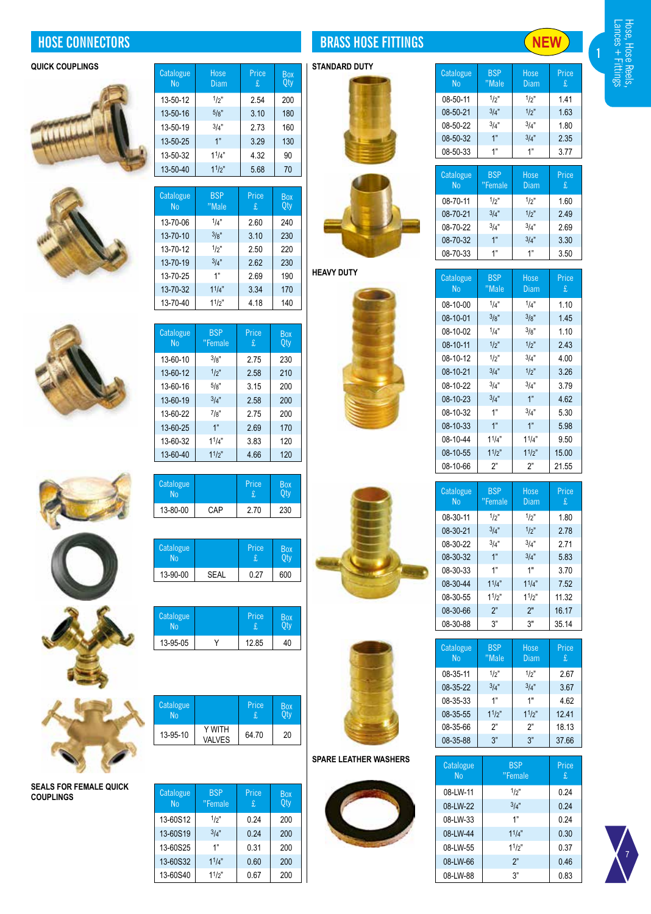





**SEALS FOR FEMALE QUICK** 

**COUPLINGS**





| Catalogue<br>N <sub>0</sub> | <b>BSP</b><br>"Male | Price<br>£ | Box<br>0ty |
|-----------------------------|---------------------|------------|------------|
| 13-70-06                    | 1/4"                | 2.60       | 240        |
| 13-70-10                    | 3/g''               | 3.10       | 230        |
| 13-70-12                    | $1/p$ "             | 2.50       | 220        |
| 13-70-19                    | 3/4"                | 2.62       | 230        |
| 13-70-25                    | 1"                  | 2.69       | 190        |
| 13-70-32                    | $1^{1}/4$ "         | 3.34       | 170        |
| 13-70-40                    | 11/2"               | 4.18       | 140        |

| Catalogue<br>N <sub>0</sub> | <b>BSP</b><br>"Female | Price<br>£. | <b>Box</b><br><b>Qty</b> |
|-----------------------------|-----------------------|-------------|--------------------------|
| 13-60-10                    | 3/g''                 | 2.75        | 230                      |
| 13-60-12                    | 1/p''                 | 2.58        | 210                      |
| 13-60-16                    | $5/s$ "               | 3.15        | 200                      |
| 13-60-19                    | 3/4"                  | 2.58        | 200                      |
| 13-60-22                    | 7/s''                 | 275         | 200                      |
| 13-60-25                    | 1"                    | 2.69        | 170                      |
| 13-60-32                    | 11/4"                 | 3.83        | 120                      |
| 13-60-40                    | $1^{1/2"$             | 4.66        | 120                      |
|                             |                       |             |                          |

| <b>Catalogue</b> |      | Price | <b>Box</b> |
|------------------|------|-------|------------|
| 13-80-00         | CAP. | 270   | 230        |

| Catalogue<br>No. |      | Price | Box |
|------------------|------|-------|-----|
| 13-90-00         | SEAL | 0.27  | 600 |



| <b>Catalogue</b><br>No |                         | Price | Box |
|------------------------|-------------------------|-------|-----|
| 13-95-10               | Y WITH<br><b>VALVES</b> | 64.70 | 20  |

| <b>Catalogue</b><br><b>No</b> | <b>BSP</b><br>"Female | Price<br>£. | <b>Box</b><br>Oty |
|-------------------------------|-----------------------|-------------|-------------------|
| 13-60S12                      | $1/p$ "               | 0.24        | 200               |
| 13-60S19                      | 3/4"                  | 0.24        | 200               |
| 13-60S25                      | 1"                    | 0.31        | 200               |
| 13-60S32                      | $1^{1}/4$ "           | 0.60        | 200               |
| 13-60S40                      | $1^{1/2"$             | 0.67        | 200               |

# **HOSE CONNECTORS BRASS HOSE FITTINGS**





**HEAVY DUTY**







**SPARE LEATHER WASHERS**



| Catalogue<br>No | <b>BSP</b><br>"Male | Hose<br><b>Diam</b> | Price<br>£ |
|-----------------|---------------------|---------------------|------------|
| 08-50-11        | 1/p''               | $1/p$ "             | 141        |
| 08-50-21        | 3/4"                | 1/p''               | 1.63       |
| 08-50-22        | 3/4"                | 3/4"                | 1.80       |
| 08-50-32        | 1"                  | 3/4"                | 2.35       |
| 08-50-33        | 1"                  | 1"                  | 3.77       |
|                 |                     |                     |            |

| Catalogue<br>N <sub>0</sub> | <b>BSP</b><br>"Female | Hose<br>Diam | Price<br>£ |
|-----------------------------|-----------------------|--------------|------------|
| 08-70-11                    | $1/p$ "               | 1/p''        | 1.60       |
| 08-70-21                    | 3/4"                  | 1/2          | 249        |
| 08-70-22                    | 3/4"                  | 3/4"         | 2.69       |
| 08-70-32                    | 1"                    | 3/4"         | 3.30       |
| 08-70-33                    | 1"                    | 1"           | 3.50       |

| Catalogue<br>No | <b>BSP</b><br>"Male | Hose<br>Diam | Price<br>£ |
|-----------------|---------------------|--------------|------------|
| 08-10-00        | 1/4"                | 1/4"         | 1.10       |
| 08-10-01        | 3/g''               | 3/g''        | 1.45       |
| 08-10-02        | 1/4"                | 3/g''        | 1.10       |
| 08-10-11        | $1/p$ "             | $1/p$ "      | 243        |
| 08-10-12        | $1/p$ "             | 3/4"         | 4.00       |
| 08-10-21        | 3/4"                | 1/p''        | 3.26       |
| 08-10-22        | 3/4"                | 3/4"         | 3.79       |
| 08-10-23        | 3/4"                | 1"           | 4.62       |
| 08-10-32        | 1"                  | 3/4"         | 5.30       |
| 08-10-33        | 1"                  | 1"           | 5.98       |
| 08-10-44        | 11/4"               | 11/4"        | 9.50       |
| 08-10-55        | 11/2"               | 11/2"        | 15.00      |
| 08-10-66        | ን"                  | ን"           | 21.55      |



| Catalogue<br>N <sub>0</sub> | <b>BSP</b><br>"Male | Hose<br>Diam | Price<br>£ |
|-----------------------------|---------------------|--------------|------------|
| 08-35-11                    | 1/p''               | $1/p$ "      | 2.67       |
| 08-35-22                    | 3/4"                | 3/4"         | 3.67       |
| 08-35-33                    | 1"                  | 1"           | 4.62       |
| 08-35-55                    | $1^{1/2"$           | 11/p''       | 12.41      |
| 08-35-66                    | 2"                  | 2"           | 18.13      |
| 08-35-88                    | 3"                  | 3"           | 37.66      |





**1**

**NEW**

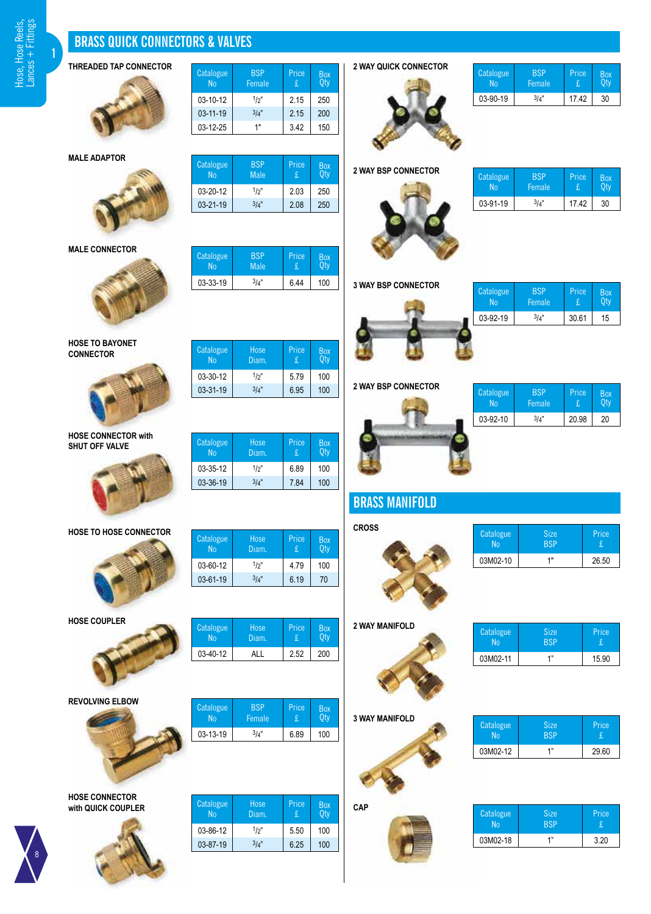**1**

# **BRASS QUICK CONNECTORS & VALVES**

**Catalogue** No

Catalogue No

**Catalogue** 

**Catalogue** 

**Catalogue** 

**Catalogue** No

**BSP** Female

 $03-10-12$   $1/2$ " 2.15 250  $03-11-19$   $3/4$ " 2.15 200 03-12-25 1" 3.42 150

> BSP Male

**BSP Male** 

03-33-19  $\frac{3}{4}$ " 6.44 100

Hose Diam.

Hose Diam.

Hose Diam.

03-60-12 1/2" 4.79 100  $03-61-19$   $3/4$ " 6.19 70

 $03-35-12$   $1/2$ " 6.89 100  $03-36-19$   $3/4$ " | 7.84 | 100

 $03-30-12$   $1/2$ " 5.79 100  $03-31-19$   $3/4$ " 6.95 100

03-20-12 1/2" 2.03 250  $03-21-19$   $3/4$ " | 2.08 | 250

Price

Price £

Price £

Price £

Price £

Price £

Box Qty

Box Qty

Box Qty

Box Qty

Box Qty

Box Qty

# **THREADED TAP CONNECTOR**



**MALE ADAPTOR**



**MALE CONNECTOR**



**HOSE TO BAYONET CONNECTOR**



**HOSE CONNECTOR with SHUT OFF VALVE**



**HOSE TO HOSE CONNECTOR**

**HOSE COUPLER**

**REVOLVING ELBOW**

**HOSE CONNECTOR with QUICK COUPLER**

8



**Catalogue** No Hose Diam. Price Box Qty 03-40-12 | ALL | 2.52 | 200

| <b>Catalogue</b><br>No | <b>BSP</b><br>Female | Price | Box |
|------------------------|----------------------|-------|-----|
| 03-13-19               | 3/4"                 | 6.89  | 100 |

| Catalogue<br>N <sub>0</sub> | Hose<br>Diam. | Price<br>£. | Box<br>0t\ |
|-----------------------------|---------------|-------------|------------|
| 03-86-12                    | 1/p''         | 5.50        | 100        |
| 03-87-19                    | 3/4"          | 6.25        | 100        |

**2 WAY QUICK CONNECTOR**

**2 WAY BSP CONNECTOR**



| Catalogue | RSP<br><b>Female</b> | Price | Box |
|-----------|----------------------|-------|-----|
| 03-90-19  | $3/\lambda$ "        | 1742  | 30  |

**Catalogue** BSP Female **Price** Box Qty  $03-91-19$   $3/4$ " 17.42 30





| <b>Catalogue</b><br>N <sub>0</sub> | <b>BSP</b><br>Female | Price<br>£ | Box |
|------------------------------------|----------------------|------------|-----|
| 03-92-19                           | 3/4"                 | 30.61      | 15  |
|                                    |                      |            |     |

**2 WAY BSP CONNECTOR**



| <b>Catalogue</b><br>N٥ | <b>BSP</b><br><b>Female</b> | Price | Box |
|------------------------|-----------------------------|-------|-----|
| 03-92-10               | $3/a$ "                     | 20.98 | 20  |

| <b>BRASS MANIFOLD</b> |
|-----------------------|



| <b>Catalogue</b><br>No | <b>Size</b><br><b>BSP</b> | Price |
|------------------------|---------------------------|-------|
| 03M02-10               | 1"                        | 26.50 |

**2 WAY MANIFOLD**



| Catalogue | <b>Size</b><br><b>RSP</b> | Price |
|-----------|---------------------------|-------|
| 03M02-11  | 4"                        | 15.90 |

**3 WAY MANIFOLD**

**CAP**





| Catalogue | <b>Size</b><br><b>RSP</b> | Price |
|-----------|---------------------------|-------|
| 03M02-12  | 4"                        | 29.60 |

| Catalogue | <b>Size</b><br>RSP | Price |
|-----------|--------------------|-------|
| 03M02-18  | 4"                 | 320   |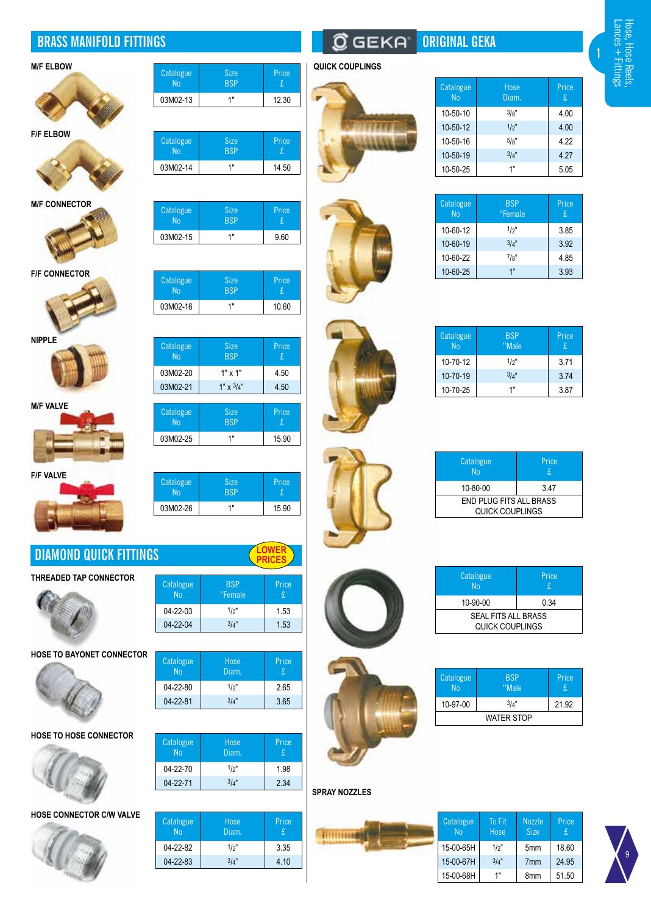# **BRASS MANIFOLD FITTINGS ORIGINAL GEKA**







**M/F CONNECTOR**



**F/F CONNECTOR**





**M/F VALVE**



**F/F VALVE**



# **DIAMOND QUICK FITTINGS**

**THREADED TAP CONNECTOR**



**HOSE TO BAYONET CONNECTOR**





**Catalogue** No

**HOSE TO HOSE CONNECTOR**



**HOSE CONNECTOR C/W VALVE**



| <b>M/F ELBOW</b> | Catalogue      | <b>Size</b> | Price | <b>QUICK COUPLINGS</b> |
|------------------|----------------|-------------|-------|------------------------|
|                  | N <sub>0</sub> | <b>BSP</b>  | t     |                        |
|                  | 03M02-13       | 4 11        | 12.30 |                        |
|                  |                |             |       |                        |
| <b>FIF FLOOM</b> |                |             |       |                        |

| Catalogue<br>Nn | <b>Size</b><br><b>BSP</b> | Price |  |
|-----------------|---------------------------|-------|--|
| 03M02-14        | 4 II                      | 14.50 |  |
|                 |                           |       |  |

| Catalogue, | <b>Size</b> | Price |
|------------|-------------|-------|
| <b>No</b>  | <b>BSP</b>  | t     |
| 03M02-15   | 1"          | 9.60  |

| Catalogue<br>No. | <b>Size</b><br><b>BSP</b> | Price |
|------------------|---------------------------|-------|
| 03M02-16         | 1"                        | 10.60 |

| Catalogue<br>N <sub>0</sub> | <b>Size</b><br><b>BSP</b> | Price<br>£  |
|-----------------------------|---------------------------|-------------|
| 03M02-20                    | $1" \times 1"$            | 4.50        |
| 03M02-21                    | $1" \times 3/4"$          | 4.50        |
|                             |                           |             |
| Catalogue<br>N <sub>0</sub> | <b>Size</b><br><b>BSP</b> | Price<br>£. |
| 03M02-25                    | 1"                        | 15.90       |
|                             |                           |             |

| Catalogue | <b>Size</b> | Price |
|-----------|-------------|-------|
| <b>No</b> | <b>BSP</b>  | £     |
| 03M02-26  | 1 "         | 15.90 |





| Hose<br>Diam. | Price<br>£. |  |
|---------------|-------------|--|
| 1/2"          | 2.65        |  |
| 3/4"          | 3.65        |  |
|               |             |  |
|               |             |  |

| Catalogue<br><b>No</b> | Hose<br>Diam. | Price<br>£. |
|------------------------|---------------|-------------|
| 04-22-70               | $1/p$ "       | 1.98        |
| 04-22-71               | 3/a''         | 2.34        |

| <b>Catalogue</b><br>No | Hose<br>Diam. | Price.<br>£. |
|------------------------|---------------|--------------|
| 04-22-82               | $1/p$ "       | 3.35         |
| 04-22-83               | 3/a''         | 4.10         |
|                        |               |              |

# m



| Catalogue<br>N <sub>0</sub> | Hose<br>Diam. | Price<br>£ |
|-----------------------------|---------------|------------|
| 10-50-10                    | 3/s''         | 4.00       |
| 10-50-12                    | $1/p$ "       | 4.00       |
| 10-50-16                    | 5/s"          | 4.22       |
| 10-50-19                    | 3/4"          | 4.27       |
| 10-50-25                    | 1"            | 5.05       |
|                             |               |            |

| Catalogue<br>N <sub>0</sub> | <b>BSP</b><br>"Female | Price<br>£ |
|-----------------------------|-----------------------|------------|
| 10-60-12                    | 1/p''                 | 3.85       |
| 10-60-19                    | 3/4"                  | 3.92       |
| 10-60-22                    | 7/8"                  | 4.85       |
| 10-60-25                    | 1"                    | 3.93       |

| Catalo<br><b>Nc</b> |
|---------------------|
| $10 - 70$           |
| $10 - 70$           |
| $10 - 70$           |
|                     |

| Catalogue<br>N <sub>0</sub> | <b>BSP</b><br>"Male | Price<br>£ |
|-----------------------------|---------------------|------------|
| 10-70-12                    | $1/p$ "             | 3.71       |
| 10-70-19                    | 3/4"                | 374        |
| 10-70-25                    | 1"                  | 3.87       |

| ۸<br>¥ |  |
|--------|--|
|        |  |
|        |  |
|        |  |
|        |  |

| Catalogue<br><b>No</b>                            | Price<br>£. |  |
|---------------------------------------------------|-------------|--|
| 10-80-00                                          | 347         |  |
| <b>END PLUG FITS ALL BRASS</b><br>QUICK COUPLINGS |             |  |

| Catalogue<br><b>No</b>                        | Price<br>£. |
|-----------------------------------------------|-------------|
| 10-90-00                                      | 0.34        |
| <b>SEAL FITS ALL BRASS</b><br>QUICK COUPLINGS |             |

| <b>Catalogue</b><br><b>No</b> | <b>BSP</b><br>"Male | Price<br>£. |
|-------------------------------|---------------------|-------------|
| 10-97-00                      | 3/4"                | 21.92       |
| <b>WATER STOP</b>             |                     |             |

# **SPRAY NOZZLES**



|   | To Fit<br>Hose | <b>Nozzle</b><br><b>Size</b> | Price<br>£. |
|---|----------------|------------------------------|-------------|
| ┫ | $1/2$ "        | 5 <sub>mm</sub>              | 18.60       |
| ┫ | 3/4"           | 7 <sub>mm</sub>              | 24.95       |
| ┫ | 1"             | 8mm                          | 51.50       |



**1**

ce









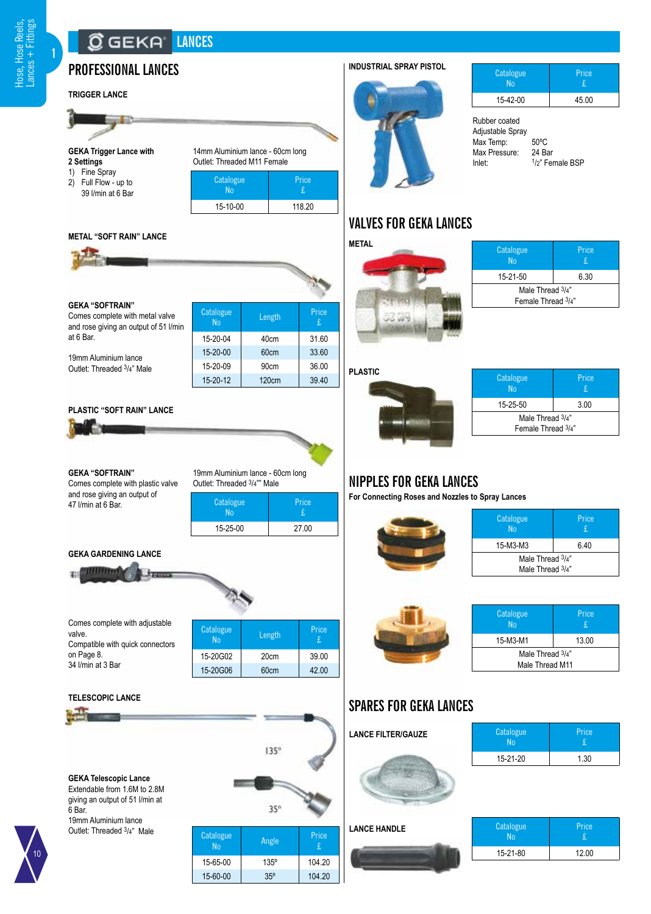**1**

# **LANCES**

# **PROFESSIONAL LANCES INDUSTRIAL SPRAY PISTOL**

# **TRIGGER LANCE**

**2 Settings** 1) Fine Spray 2) Full Flow - up to 39 l/min at 6 Bar



| Catalogue<br>$N_0$ | Price  |
|--------------------|--------|
| 15-10-00           | 118.20 |
|                    |        |

134

## **METAL "SOFT RAIN" LANCE**

**GEKA Trigger Lance with**

т. **Security** 



## **GEKA "SOFTRAIN"**

Comes complete with metal valve and rose giving an output of 51 l/n at 6 Bar.

19mm Aluminium lance Outlet: Threaded 3/4" Male

| nin | Catalogue<br>N <sub>0</sub> | Length            | Price<br>£. |
|-----|-----------------------------|-------------------|-------------|
|     | 15-20-04                    | 40cm              | 31.60       |
|     | 15-20-00                    | 60cm              | 33.60       |
|     | 15-20-09                    | 90cm              | 36.00       |
|     | 15-20-12                    | 120 <sub>cm</sub> | 39.40       |
|     |                             |                   |             |

# **PLASTIC "SOFT RAIN" LANCE**



**GEKA "SOFTRAIN"** Comes complete with plastic valve and rose giving an output of 47 l/min at 6 Bar.

**Catalogue** Price 19mm Aluminium lance - 60cm long Outlet: Threaded 3/4"" Male

| Catalogue | Price |
|-----------|-------|
| 15-25-00  | 27.00 |

## **GEKA GARDENING LANCE**



Comes complete with adjustable valve. Compatible with quick connectors on Page 8. 34 l/min at 3 Bar

| <b>Catalogue</b><br>N <sub>0</sub> | Length           | Price<br>£. |
|------------------------------------|------------------|-------------|
| 15-20G02                           | 20 <sub>cm</sub> | 39.00       |
| 15-20G06                           | 60cm             | 42.00       |

# **TELESCOPIC LANCE**

|                                                                                                                                   |                 | $135^\circ$ |              |
|-----------------------------------------------------------------------------------------------------------------------------------|-----------------|-------------|--------------|
| <b>GEKA Telescopic Lance</b><br>Extendable from 1.6M to 2.8M<br>giving an output of 51 I/min at<br>6 Bar.<br>19mm Aluminium lance |                 | 35°         |              |
| Outlet: Threaded 3/4" Male                                                                                                        | Catalogue<br>No | Angle       | Price.<br>£. |
|                                                                                                                                   | 15-65-00        | $135^\circ$ | 104.20       |
|                                                                                                                                   | 15-60-00        | 35°         | 104.20       |



| Catalogue<br>N٥ | Price |
|-----------------|-------|
| 15-42-00        | 45.00 |

Rubber coated Adjustable Spray Max Temp: 50°C<br>Max Pressure: 24 Bar Max Pressure:<br>Inlet:  $1/2$ " Female BSP

# **VALVES FOR GEKA LANCES**



| Catalogue<br><b>No</b> | Price<br>£. |  |
|------------------------|-------------|--|
| 15-21-50               | 6.30        |  |
| Male Thread 3/4"       |             |  |
| Female Thread 3/4"     |             |  |

**PLASTIC**



| Catalogue<br>N <sub>0</sub>            | Price<br>£. |  |
|----------------------------------------|-------------|--|
| 15-25-50                               | 3.00        |  |
| Male Thread 3/4"<br>Female Thread 3/4" |             |  |

# **NIPPLES FOR GEKA LANCES**

**For Connecting Roses and Nozzles to Spray Lances**



| Catalogue<br>N <sub>0</sub> | Price<br>£. |
|-----------------------------|-------------|
| 15-M3-M3                    | ჩ 40        |
| Male Thread 3/4"            |             |
| Male Thread 3/4"            |             |



| Catalogue<br><b>No</b> | Price<br>£. |  |
|------------------------|-------------|--|
| 15-M3-M1               | 13.00       |  |
| Male Thread 3/4"       |             |  |
| Male Thread M11        |             |  |
|                        |             |  |

15-21-80 12.00

Price

1.30

Price

# **SPARES FOR GEKA LANCES**

| <b>LANCE FILTER/GAUZE</b> | Catalogue<br>N <sub>0</sub> |  |
|---------------------------|-----------------------------|--|
|                           | 15-21-20                    |  |
|                           |                             |  |
| <b>LANCE HANDLE</b>       | Catalogue<br><b>No</b>      |  |

| 10 |
|----|
|    |
|    |